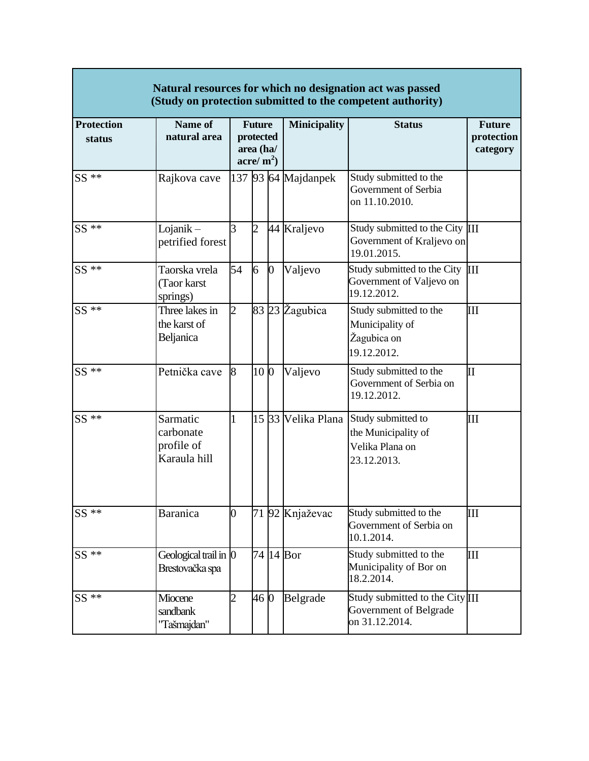| Natural resources for which no designation act was passed<br>(Study on protection submitted to the competent authority) |                                                     |                                                         |                 |              |                     |                                                                                                |                                         |  |  |  |  |  |
|-------------------------------------------------------------------------------------------------------------------------|-----------------------------------------------------|---------------------------------------------------------|-----------------|--------------|---------------------|------------------------------------------------------------------------------------------------|-----------------------------------------|--|--|--|--|--|
| <b>Protection</b><br>status                                                                                             | Name of<br>natural area                             | <b>Future</b><br>protected<br>area (ha/<br>acre/ $m2$ ) |                 |              | <b>Minicipality</b> | <b>Status</b>                                                                                  | <b>Future</b><br>protection<br>category |  |  |  |  |  |
| $SS$ **                                                                                                                 | Rajkova cave                                        |                                                         |                 |              | 137 93 64 Majdanpek | Study submitted to the<br>Government of Serbia<br>on 11.10.2010.                               |                                         |  |  |  |  |  |
| $SS$ **                                                                                                                 | $Lojanik -$<br>petrified forest                     | 3                                                       | $\overline{2}$  |              | 44 Kraljevo         | Study submitted to the City III<br>Government of Kraljevo on<br>19.01.2015.                    |                                         |  |  |  |  |  |
| $SS **$                                                                                                                 | Taorska vrela<br>(Taor karst<br>springs)            | 54                                                      | 6               | $\mathbf{0}$ | Valjevo             | Study submitted to the City III<br>Government of Valjevo on<br>19.12.2012.                     |                                         |  |  |  |  |  |
| $SS$ **                                                                                                                 | Three lakes in<br>the karst of<br>Beljanica         | $\overline{2}$                                          |                 |              | 83 23 Žagubica      | Study submitted to the<br>Municipality of<br>Žagubica on<br>19.12.2012.                        | III                                     |  |  |  |  |  |
| $SS$ **                                                                                                                 | Petnička cave                                       | 8                                                       | 10 <sub>0</sub> |              | Valjevo             | Study submitted to the<br>Government of Serbia on<br>19.12.2012.                               | П                                       |  |  |  |  |  |
| $SS$ **                                                                                                                 | Sarmatic<br>carbonate<br>profile of<br>Karaula hill | $\mathbf{1}$                                            |                 |              |                     | 15 33 Velika Plana Study submitted to<br>the Municipality of<br>Velika Plana on<br>23.12.2013. | Ш                                       |  |  |  |  |  |
| $SS$ **                                                                                                                 | <b>Baranica</b>                                     | 0                                                       |                 |              | 71 92 Knjaževac     | Study submitted to the<br>Government of Serbia on<br>10.1.2014.                                | Ш                                       |  |  |  |  |  |
| $SS$ **                                                                                                                 | Geological trail in 0<br>Brestovačka spa            |                                                         |                 |              | 74 14 Bor           | Study submitted to the<br>Municipality of Bor on<br>18.2.2014.                                 | Ш                                       |  |  |  |  |  |
| $SS$ **                                                                                                                 | Miocene<br>sandbank<br>"Tašmajdan"                  | $\overline{2}$                                          | 46 0            |              | Belgrade            | Study submitted to the City <sup>III</sup><br>Government of Belgrade<br>on 31.12.2014.         |                                         |  |  |  |  |  |